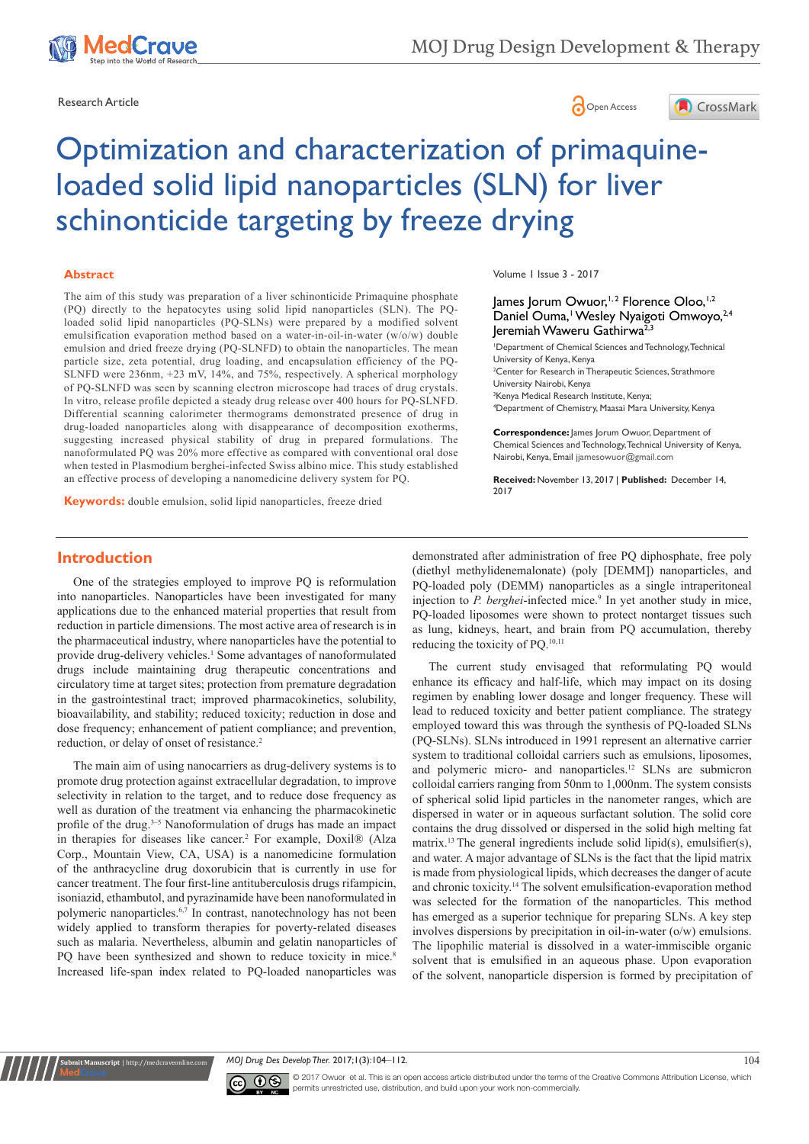





# Optimization and characterization of primaquineloaded solid lipid nanoparticles (SLN) for liver schinonticide targeting by freeze drying

#### **Abstract**

The aim of this study was preparation of a liver schinonticide Primaquine phosphate (PQ) directly to the hepatocytes using solid lipid nanoparticles (SLN). The PQloaded solid lipid nanoparticles (PQ-SLNs) were prepared by a modified solvent emulsification evaporation method based on a water-in-oil-in-water (w/o/w) double emulsion and dried freeze drying (PQ-SLNFD) to obtain the nanoparticles. The mean particle size, zeta potential, drug loading, and encapsulation efficiency of the PQ-SLNFD were 236nm, +23 mV, 14%, and 75%, respectively. A spherical morphology of PQ-SLNFD was seen by scanning electron microscope had traces of drug crystals. In vitro, release profile depicted a steady drug release over 400 hours for PQ-SLNFD. Differential scanning calorimeter thermograms demonstrated presence of drug in drug-loaded nanoparticles along with disappearance of decomposition exotherms, suggesting increased physical stability of drug in prepared formulations. The nanoformulated PQ was 20% more effective as compared with conventional oral dose when tested in Plasmodium berghei-infected Swiss albino mice. This study established an effective process of developing a nanomedicine delivery system for PQ.

**Keywords:** double emulsion, solid lipid nanoparticles, freeze dried

Volume 1 Issue 3 - 2017

# James Jorum Owuor,<sup>1,2</sup> Florence Oloo,<sup>1,2</sup> Daniel Ouma,<sup>1</sup> Wesley Nyaigoti Omwoyo, 2,4 Jeremiah Waweru Gathirwa<sup>2,3</sup>

1 Department of Chemical Sciences and Technology, Technical University of Kenya, Kenya <sup>2</sup> Center for Research in Therapeutic Sciences, Strathmore University Nairobi, Kenya 3 Kenya Medical Research Institute, Kenya; 4 Department of Chemistry, Maasai Mara University, Kenya

**Correspondence:** James Jorum Owuor, Department of Chemical Sciences and Technology, Technical University of Kenya, Nairobi, Kenya, Email jjamesowuor@gmail.com

**Received:** November 13, 2017 | **Published:** December 14, 2017

# **Introduction**

**Rubmit Manuscript** | http://medcrav

One of the strategies employed to improve PQ is reformulation into nanoparticles. Nanoparticles have been investigated for many applications due to the enhanced material properties that result from reduction in particle dimensions. The most active area of research is in the pharmaceutical industry, where nanoparticles have the potential to provide drug-delivery vehicles.<sup>1</sup> Some advantages of nanoformulated drugs include maintaining drug therapeutic concentrations and circulatory time at target sites; protection from premature degradation in the gastrointestinal tract; improved pharmacokinetics, solubility, bioavailability, and stability; reduced toxicity; reduction in dose and dose frequency; enhancement of patient compliance; and prevention, reduction, or delay of onset of resistance.<sup>2</sup>

The main aim of using nanocarriers as drug-delivery systems is to promote drug protection against extracellular degradation, to improve selectivity in relation to the target, and to reduce dose frequency as well as duration of the treatment via enhancing the pharmacokinetic profile of the drug.<sup>3-5</sup> Nanoformulation of drugs has made an impact in therapies for diseases like cancer.<sup>2</sup> For example, Doxil® (Alza Corp., Mountain View, CA, USA) is a nanomedicine formulation of the anthracycline drug doxorubicin that is currently in use for cancer treatment. The four first-line antituberculosis drugs rifampicin, isoniazid, ethambutol, and pyrazinamide have been nanoformulated in polymeric nanoparticles.6,7 In contrast, nanotechnology has not been widely applied to transform therapies for poverty-related diseases such as malaria. Nevertheless, albumin and gelatin nanoparticles of PQ have been synthesized and shown to reduce toxicity in mice.<sup>8</sup> Increased life-span index related to PQ-loaded nanoparticles was

demonstrated after administration of free PQ diphosphate, free poly (diethyl methylidenemalonate) (poly [DEMM]) nanoparticles, and PQ-loaded poly (DEMM) nanoparticles as a single intraperitoneal injection to *P. berghei*-infected mice.<sup>9</sup> In yet another study in mice, PQ-loaded liposomes were shown to protect nontarget tissues such as lung, kidneys, heart, and brain from PQ accumulation, thereby reducing the toxicity of PQ.10,11

The current study envisaged that reformulating PQ would enhance its efficacy and half-life, which may impact on its dosing regimen by enabling lower dosage and longer frequency. These will lead to reduced toxicity and better patient compliance. The strategy employed toward this was through the synthesis of PQ-loaded SLNs (PQ-SLNs). SLNs introduced in 1991 represent an alternative carrier system to traditional colloidal carriers such as emulsions, liposomes, and polymeric micro- and nanoparticles.12 SLNs are submicron colloidal carriers ranging from 50nm to 1,000nm. The system consists of spherical solid lipid particles in the nanometer ranges, which are dispersed in water or in aqueous surfactant solution. The solid core contains the drug dissolved or dispersed in the solid high melting fat matrix.13 The general ingredients include solid lipid(s), emulsifier(s), and water. A major advantage of SLNs is the fact that the lipid matrix is made from physiological lipids, which decreases the danger of acute and chronic toxicity.14 The solvent emulsification-evaporation method was selected for the formation of the nanoparticles. This method has emerged as a superior technique for preparing SLNs. A key step involves dispersions by precipitation in oil-in-water (o/w) emulsions. The lipophilic material is dissolved in a water-immiscible organic solvent that is emulsified in an aqueous phase. Upon evaporation of the solvent, nanoparticle dispersion is formed by precipitation of

*MOJ Drug Des Develop Ther.* 2017;1(3):104–112. 104



© 2017 Owuor et al. This is an open access article distributed under the terms of the [Creative Commons Attribution License,](https://creativecommons.org/licenses/by-nc/4.0/) which permits unrestricted use, distribution, and build upon your work non-commercially.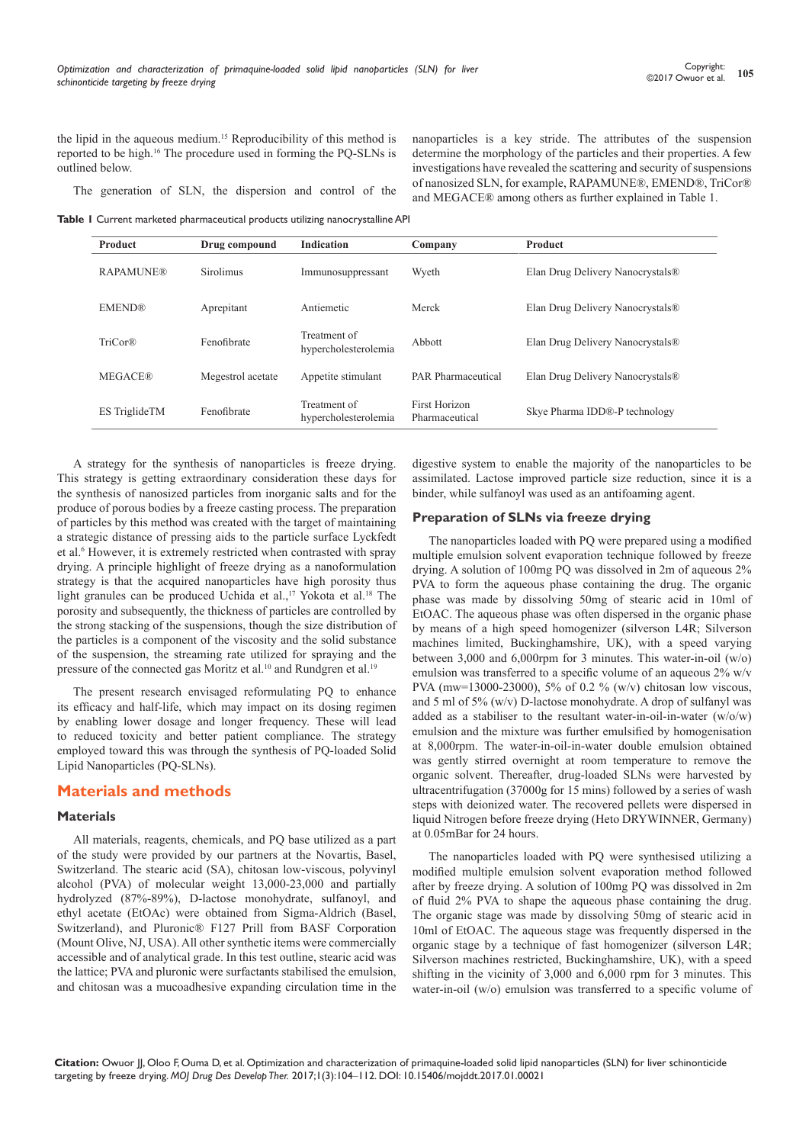the lipid in the aqueous medium.15 Reproducibility of this method is reported to be high.16 The procedure used in forming the PQ-SLNs is outlined below.

The generation of SLN, the dispersion and control of the

nanoparticles is a key stride. The attributes of the suspension determine the morphology of the particles and their properties. A few investigations have revealed the scattering and security of suspensions of nanosized SLN, for example, RAPAMUNE®, EMEND®, TriCor® and MEGACE® among others as further explained in Table 1.

**Table 1** Current marketed pharmaceutical products utilizing nanocrystalline API

| <b>Product</b>       | Drug compound     | <b>Indication</b>                    | Company                         | Product                                      |
|----------------------|-------------------|--------------------------------------|---------------------------------|----------------------------------------------|
| <b>RAPAMUNE®</b>     | <b>Sirolimus</b>  | Immunosuppressant                    | Wyeth                           | Elan Drug Delivery Nanocrystals <sup>®</sup> |
| <b>EMEND®</b>        | Aprepitant        | Antiemetic                           | Merck                           | Elan Drug Delivery Nanocrystals <sup>®</sup> |
| TriCor®              | Fenofibrate       | Treatment of<br>hypercholesterolemia | Abbott                          | Elan Drug Delivery Nanocrystals <sup>®</sup> |
| <b>MEGACE®</b>       | Megestrol acetate | Appetite stimulant                   | <b>PAR</b> Pharmaceutical       | Elan Drug Delivery Nanocrystals <sup>®</sup> |
| <b>ES</b> TriglideTM | Fenofibrate       | Treatment of<br>hypercholesterolemia | First Horizon<br>Pharmaceutical | Skye Pharma IDD®-P technology                |

A strategy for the synthesis of nanoparticles is freeze drying. This strategy is getting extraordinary consideration these days for the synthesis of nanosized particles from inorganic salts and for the produce of porous bodies by a freeze casting process. The preparation of particles by this method was created with the target of maintaining a strategic distance of pressing aids to the particle surface Lyckfedt et al.<sup>6</sup> However, it is extremely restricted when contrasted with spray drying. A principle highlight of freeze drying as a nanoformulation strategy is that the acquired nanoparticles have high porosity thus light granules can be produced Uchida et al.,<sup>17</sup> Yokota et al.<sup>18</sup> The porosity and subsequently, the thickness of particles are controlled by the strong stacking of the suspensions, though the size distribution of the particles is a component of the viscosity and the solid substance of the suspension, the streaming rate utilized for spraying and the pressure of the connected gas Moritz et al.<sup>10</sup> and Rundgren et al.<sup>19</sup>

The present research envisaged reformulating PQ to enhance its efficacy and half-life, which may impact on its dosing regimen by enabling lower dosage and longer frequency. These will lead to reduced toxicity and better patient compliance. The strategy employed toward this was through the synthesis of PQ-loaded Solid Lipid Nanoparticles (PQ-SLNs).

# **Materials and methods**

#### **Materials**

All materials, reagents, chemicals, and PQ base utilized as a part of the study were provided by our partners at the Novartis, Basel, Switzerland. The stearic acid (SA), chitosan low-viscous, polyvinyl alcohol (PVA) of molecular weight 13,000-23,000 and partially hydrolyzed (87%-89%), D-lactose monohydrate, sulfanoyl, and ethyl acetate (EtOAc) were obtained from Sigma-Aldrich (Basel, Switzerland), and Pluronic® F127 Prill from BASF Corporation (Mount Olive, NJ, USA). All other synthetic items were commercially accessible and of analytical grade. In this test outline, stearic acid was the lattice; PVA and pluronic were surfactants stabilised the emulsion, and chitosan was a mucoadhesive expanding circulation time in the digestive system to enable the majority of the nanoparticles to be assimilated. Lactose improved particle size reduction, since it is a binder, while sulfanoyl was used as an antifoaming agent.

#### **Preparation of SLNs via freeze drying**

The nanoparticles loaded with PQ were prepared using a modified multiple emulsion solvent evaporation technique followed by freeze drying. A solution of 100mg PQ was dissolved in 2m of aqueous 2% PVA to form the aqueous phase containing the drug. The organic phase was made by dissolving 50mg of stearic acid in 10ml of EtOAC. The aqueous phase was often dispersed in the organic phase by means of a high speed homogenizer (silverson L4R; Silverson machines limited, Buckinghamshire, UK), with a speed varying between 3,000 and 6,000rpm for 3 minutes. This water-in-oil (w/o) emulsion was transferred to a specific volume of an aqueous 2% w/v PVA (mw=13000-23000), 5% of 0.2 % (w/v) chitosan low viscous, and 5 ml of 5% (w/v) D-lactose monohydrate. A drop of sulfanyl was added as a stabiliser to the resultant water-in-oil-in-water (w/o/w) emulsion and the mixture was further emulsified by homogenisation at 8,000rpm. The water-in-oil-in-water double emulsion obtained was gently stirred overnight at room temperature to remove the organic solvent. Thereafter, drug-loaded SLNs were harvested by ultracentrifugation (37000g for 15 mins) followed by a series of wash steps with deionized water. The recovered pellets were dispersed in liquid Nitrogen before freeze drying (Heto DRYWINNER, Germany) at 0.05mBar for 24 hours.

The nanoparticles loaded with PQ were synthesised utilizing a modified multiple emulsion solvent evaporation method followed after by freeze drying. A solution of 100mg PQ was dissolved in 2m of fluid 2% PVA to shape the aqueous phase containing the drug. The organic stage was made by dissolving 50mg of stearic acid in 10ml of EtOAC. The aqueous stage was frequently dispersed in the organic stage by a technique of fast homogenizer (silverson L4R; Silverson machines restricted, Buckinghamshire, UK), with a speed shifting in the vicinity of 3,000 and 6,000 rpm for 3 minutes. This water-in-oil (w/o) emulsion was transferred to a specific volume of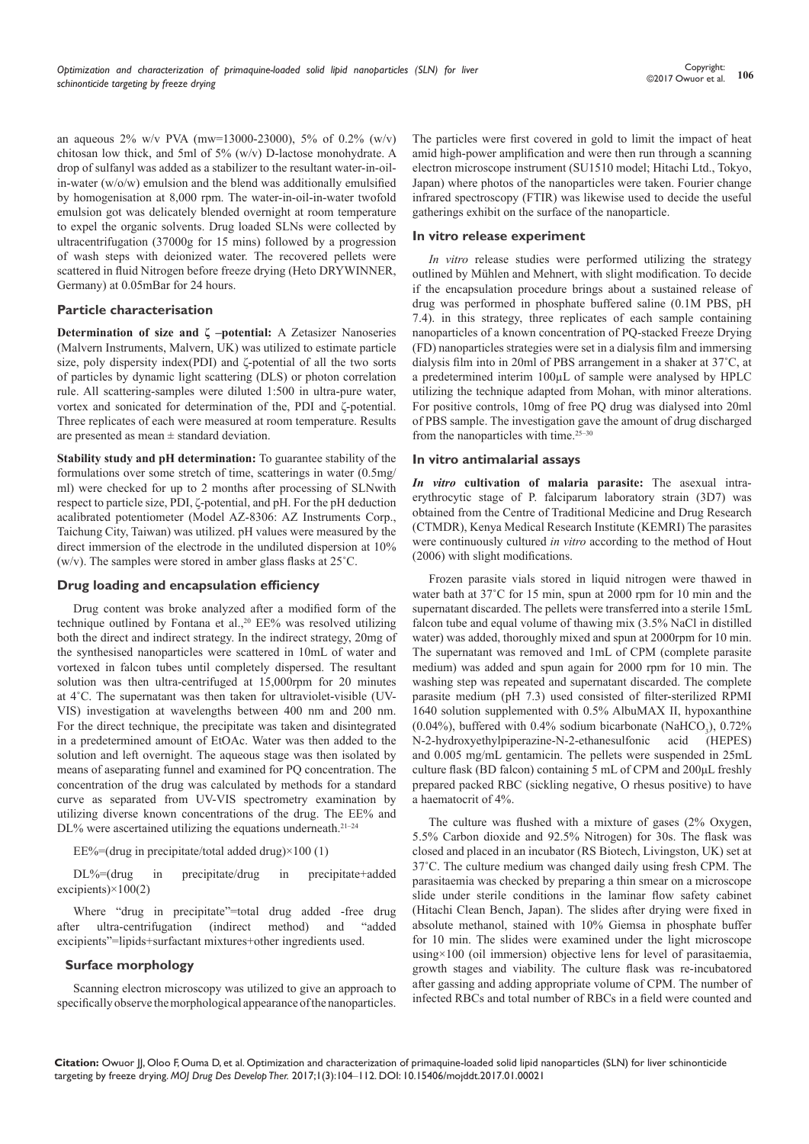an aqueous  $2\%$  w/v PVA (mw=13000-23000), 5% of 0.2% (w/v) chitosan low thick, and 5ml of 5% (w/v) D-lactose monohydrate. A drop of sulfanyl was added as a stabilizer to the resultant water-in-oilin-water (w/o/w) emulsion and the blend was additionally emulsified by homogenisation at 8,000 rpm. The water-in-oil-in-water twofold emulsion got was delicately blended overnight at room temperature to expel the organic solvents. Drug loaded SLNs were collected by ultracentrifugation (37000g for 15 mins) followed by a progression of wash steps with deionized water. The recovered pellets were scattered in fluid Nitrogen before freeze drying (Heto DRYWINNER, Germany) at 0.05mBar for 24 hours.

#### **Particle characterisation**

**Determination of size and ζ –potential:** A Zetasizer Nanoseries (Malvern Instruments, Malvern, UK) was utilized to estimate particle size, poly dispersity index(PDI) and ζ-potential of all the two sorts of particles by dynamic light scattering (DLS) or photon correlation rule. All scattering-samples were diluted 1:500 in ultra-pure water, vortex and sonicated for determination of the, PDI and ζ-potential. Three replicates of each were measured at room temperature. Results are presented as mean ± standard deviation.

**Stability study and pH determination:** To guarantee stability of the formulations over some stretch of time, scatterings in water (0.5mg/ ml) were checked for up to 2 months after processing of SLNwith respect to particle size, PDI, ζ-potential, and pH. For the pH deduction acalibrated potentiometer (Model AZ-8306: AZ Instruments Corp., Taichung City, Taiwan) was utilized. pH values were measured by the direct immersion of the electrode in the undiluted dispersion at 10% (w/v). The samples were stored in amber glass flasks at 25˚C.

# **Drug loading and encapsulation efficiency**

Drug content was broke analyzed after a modified form of the technique outlined by Fontana et al.,<sup>20</sup> EE% was resolved utilizing both the direct and indirect strategy. In the indirect strategy, 20mg of the synthesised nanoparticles were scattered in 10mL of water and vortexed in falcon tubes until completely dispersed. The resultant solution was then ultra-centrifuged at 15,000rpm for 20 minutes at 4˚C. The supernatant was then taken for ultraviolet-visible (UV-VIS) investigation at wavelengths between 400 nm and 200 nm. For the direct technique, the precipitate was taken and disintegrated in a predetermined amount of EtOAc. Water was then added to the solution and left overnight. The aqueous stage was then isolated by means of aseparating funnel and examined for PQ concentration. The concentration of the drug was calculated by methods for a standard curve as separated from UV-VIS spectrometry examination by utilizing diverse known concentrations of the drug. The EE% and  $DL%$  were ascertained utilizing the equations underneath.<sup>21–24</sup>

EE%=(drug in precipitate/total added drug) $\times$ 100 (1)

DL%=(drug in precipitate/drug in precipitate+added excipients $)\times 100(2)$ 

Where "drug in precipitate"=total drug added -free drug after ultra-centrifugation (indirect method) and "added excipients"=lipids+surfactant mixtures+other ingredients used.

# **Surface morphology**

Scanning electron microscopy was utilized to give an approach to specifically observe the morphological appearance of the nanoparticles.

The particles were first covered in gold to limit the impact of heat amid high-power amplification and were then run through a scanning electron microscope instrument (SU1510 model; Hitachi Ltd., Tokyo, Japan) where photos of the nanoparticles were taken. Fourier change infrared spectroscopy (FTIR) was likewise used to decide the useful gatherings exhibit on the surface of the nanoparticle.

# **In vitro release experiment**

*In vitro* release studies were performed utilizing the strategy outlined by Mühlen and Mehnert, with slight modification. To decide if the encapsulation procedure brings about a sustained release of drug was performed in phosphate buffered saline (0.1M PBS, pH 7.4). in this strategy, three replicates of each sample containing nanoparticles of a known concentration of PQ-stacked Freeze Drying (FD) nanoparticles strategies were set in a dialysis film and immersing dialysis film into in 20ml of PBS arrangement in a shaker at 37˚C, at a predetermined interim 100µL of sample were analysed by HPLC utilizing the technique adapted from Mohan, with minor alterations. For positive controls, 10mg of free PQ drug was dialysed into 20ml of PBS sample. The investigation gave the amount of drug discharged from the nanoparticles with time.<sup>25-30</sup>

#### **In vitro antimalarial assays**

*In vitro* **cultivation of malaria parasite:** The asexual intraerythrocytic stage of P. falciparum laboratory strain (3D7) was obtained from the Centre of Traditional Medicine and Drug Research (CTMDR), Kenya Medical Research Institute (KEMRI) The parasites were continuously cultured *in vitro* according to the method of Hout (2006) with slight modifications.

Frozen parasite vials stored in liquid nitrogen were thawed in water bath at 37˚C for 15 min, spun at 2000 rpm for 10 min and the supernatant discarded. The pellets were transferred into a sterile 15mL falcon tube and equal volume of thawing mix (3.5% NaCl in distilled water) was added, thoroughly mixed and spun at 2000rpm for 10 min. The supernatant was removed and 1mL of CPM (complete parasite medium) was added and spun again for 2000 rpm for 10 min. The washing step was repeated and supernatant discarded. The complete parasite medium (pH 7.3) used consisted of filter-sterilized RPMI 1640 solution supplemented with 0.5% AlbuMAX II, hypoxanthine  $(0.04\%)$ , buffered with 0.4% sodium bicarbonate (NaHCO<sub>3</sub>), 0.72% N-2-hydroxyethylpiperazine-N-2-ethanesulfonic acid (HEPES) and 0.005 mg/mL gentamicin. The pellets were suspended in 25mL culture flask (BD falcon) containing 5 mL of CPM and 200μL freshly prepared packed RBC (sickling negative, O rhesus positive) to have a haematocrit of 4%.

The culture was flushed with a mixture of gases (2% Oxygen, 5.5% Carbon dioxide and 92.5% Nitrogen) for 30s. The flask was closed and placed in an incubator (RS Biotech, Livingston, UK) set at 37˚C. The culture medium was changed daily using fresh CPM. The parasitaemia was checked by preparing a thin smear on a microscope slide under sterile conditions in the laminar flow safety cabinet (Hitachi Clean Bench, Japan). The slides after drying were fixed in absolute methanol, stained with 10% Giemsa in phosphate buffer for 10 min. The slides were examined under the light microscope using×100 (oil immersion) objective lens for level of parasitaemia, growth stages and viability. The culture flask was re-incubatored after gassing and adding appropriate volume of CPM. The number of infected RBCs and total number of RBCs in a field were counted and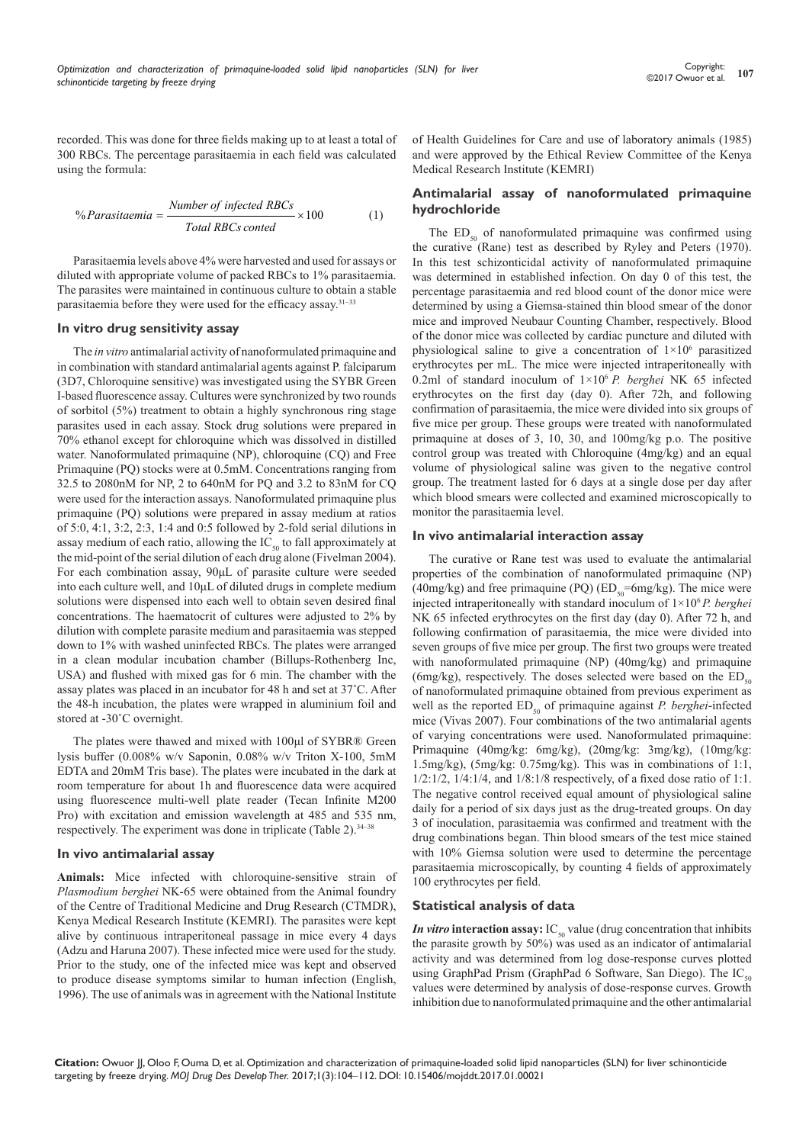recorded. This was done for three fields making up to at least a total of 300 RBCs. The percentage parasitaemia in each field was calculated using the formula:

% *Parasitaemia* = 
$$
\frac{Number\ of\ infected\ RBCs}{Total\ RBCs\ contend} \times 100
$$
 (1)

Parasitaemia levels above 4% were harvested and used for assays or diluted with appropriate volume of packed RBCs to 1% parasitaemia. The parasites were maintained in continuous culture to obtain a stable parasitaemia before they were used for the efficacy assay.31–33

#### **In vitro drug sensitivity assay**

The *in vitro* antimalarial activity of nanoformulated primaquine and in combination with standard antimalarial agents against P. falciparum (3D7, Chloroquine sensitive) was investigated using the SYBR Green I-based fluorescence assay. Cultures were synchronized by two rounds of sorbitol (5%) treatment to obtain a highly synchronous ring stage parasites used in each assay. Stock drug solutions were prepared in 70% ethanol except for chloroquine which was dissolved in distilled water. Nanoformulated primaquine (NP), chloroquine (CQ) and Free Primaquine (PQ) stocks were at 0.5mM. Concentrations ranging from 32.5 to 2080nM for NP, 2 to 640nM for PQ and 3.2 to 83nM for CQ were used for the interaction assays. Nanoformulated primaquine plus primaquine (PQ) solutions were prepared in assay medium at ratios of 5:0, 4:1, 3:2, 2:3, 1:4 and 0:5 followed by 2-fold serial dilutions in assay medium of each ratio, allowing the  $IC_{\text{so}}$  to fall approximately at the mid-point of the serial dilution of each drug alone (Fivelman 2004). For each combination assay, 90μL of parasite culture were seeded into each culture well, and 10μL of diluted drugs in complete medium solutions were dispensed into each well to obtain seven desired final concentrations. The haematocrit of cultures were adjusted to 2% by dilution with complete parasite medium and parasitaemia was stepped down to 1% with washed uninfected RBCs. The plates were arranged in a clean modular incubation chamber (Billups-Rothenberg Inc, USA) and flushed with mixed gas for 6 min. The chamber with the assay plates was placed in an incubator for 48 h and set at 37˚C. After the 48-h incubation, the plates were wrapped in aluminium foil and stored at -30˚C overnight.

The plates were thawed and mixed with 100μl of SYBR® Green lysis buffer (0.008% w/v Saponin, 0.08% w/v Triton X-100, 5mM EDTA and 20mM Tris base). The plates were incubated in the dark at room temperature for about 1h and fluorescence data were acquired using fluorescence multi-well plate reader (Tecan Infinite M200 Pro) with excitation and emission wavelength at 485 and 535 nm, respectively. The experiment was done in triplicate (Table 2).34–38

#### **In vivo antimalarial assay**

**Animals:** Mice infected with chloroquine-sensitive strain of *Plasmodium berghei* NK-65 were obtained from the Animal foundry of the Centre of Traditional Medicine and Drug Research (CTMDR), Kenya Medical Research Institute (KEMRI). The parasites were kept alive by continuous intraperitoneal passage in mice every 4 days (Adzu and Haruna 2007). These infected mice were used for the study. Prior to the study, one of the infected mice was kept and observed to produce disease symptoms similar to human infection (English, 1996). The use of animals was in agreement with the National Institute

of Health Guidelines for Care and use of laboratory animals (1985) and were approved by the Ethical Review Committee of the Kenya Medical Research Institute (KEMRI)

# **Antimalarial assay of nanoformulated primaquine hydrochloride**

The  $ED_{50}$  of nanoformulated primaquine was confirmed using the curative (Rane) test as described by Ryley and Peters (1970). In this test schizonticidal activity of nanoformulated primaquine was determined in established infection. On day 0 of this test, the percentage parasitaemia and red blood count of the donor mice were determined by using a Giemsa-stained thin blood smear of the donor mice and improved Neubaur Counting Chamber, respectively. Blood of the donor mice was collected by cardiac puncture and diluted with physiological saline to give a concentration of  $1 \times 10^6$  parasitized erythrocytes per mL. The mice were injected intraperitoneally with 0.2ml of standard inoculum of 1×106 *P. berghei* NK 65 infected erythrocytes on the first day (day 0). After 72h, and following confirmation of parasitaemia, the mice were divided into six groups of five mice per group. These groups were treated with nanoformulated primaquine at doses of 3, 10, 30, and 100mg/kg p.o. The positive control group was treated with Chloroquine (4mg/kg) and an equal volume of physiological saline was given to the negative control group. The treatment lasted for 6 days at a single dose per day after which blood smears were collected and examined microscopically to monitor the parasitaemia level.

#### **In vivo antimalarial interaction assay**

The curative or Rane test was used to evaluate the antimalarial properties of the combination of nanoformulated primaquine (NP) (40mg/kg) and free primaquine (PQ) ( $ED_{so}$ =6mg/kg). The mice were injected intraperitoneally with standard inoculum of 1×106 *P. berghei* NK 65 infected erythrocytes on the first day (day 0). After 72 h, and following confirmation of parasitaemia, the mice were divided into seven groups of five mice per group. The first two groups were treated with nanoformulated primaquine (NP) (40mg/kg) and primaquine (6mg/kg), respectively. The doses selected were based on the  $ED_{50}$ of nanoformulated primaquine obtained from previous experiment as well as the reported ED<sub>50</sub> of primaquine against *P. berghei*-infected mice (Vivas 2007). Four combinations of the two antimalarial agents of varying concentrations were used. Nanoformulated primaquine: Primaquine (40mg/kg: 6mg/kg), (20mg/kg: 3mg/kg), (10mg/kg: 1.5mg/kg), (5mg/kg: 0.75mg/kg). This was in combinations of 1:1, 1/2:1/2, 1/4:1/4, and 1/8:1/8 respectively, of a fixed dose ratio of 1:1. The negative control received equal amount of physiological saline daily for a period of six days just as the drug-treated groups. On day 3 of inoculation, parasitaemia was confirmed and treatment with the drug combinations began. Thin blood smears of the test mice stained with 10% Giemsa solution were used to determine the percentage parasitaemia microscopically, by counting 4 fields of approximately 100 erythrocytes per field.

#### **Statistical analysis of data**

*In vitro* interaction assay:  $IC_{50}$  value (drug concentration that inhibits the parasite growth by 50%) was used as an indicator of antimalarial activity and was determined from log dose-response curves plotted using GraphPad Prism (GraphPad 6 Software, San Diego). The  $IC_{50}$ values were determined by analysis of dose-response curves. Growth inhibition due to nanoformulated primaquine and the other antimalarial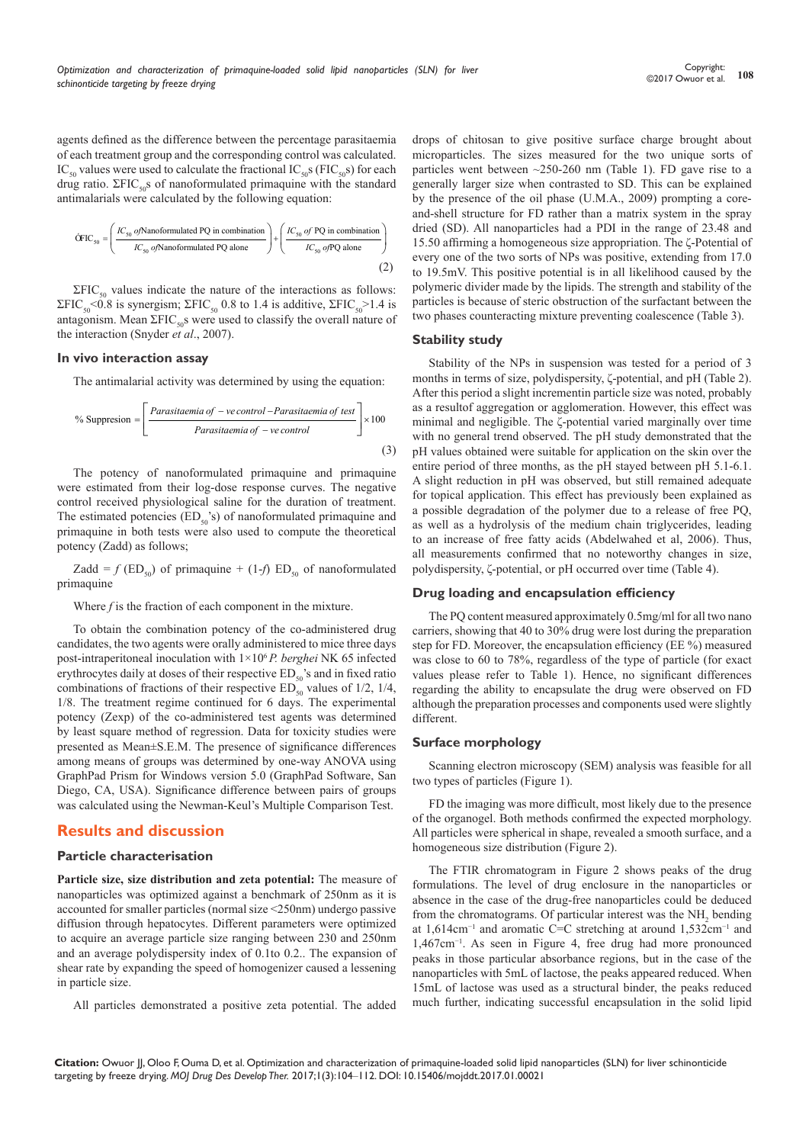agents defined as the difference between the percentage parasitaemia of each treatment group and the corresponding control was calculated. IC<sub>50</sub> values were used to calculate the fractional IC<sub>50</sub>s (FIC<sub>50</sub>s) for each drug ratio.  $\Sigma FIC_{50}$ s of nanoformulated primaquine with the standard antimalarials were calculated by the following equation:

$$
\text{CFTC}_{50} = \left(\frac{IC_{50} \text{ o/Nanoformulated PQ in combination}}{IC_{50} \text{ o/Nanoformulated PQ alone}}\right) + \left(\frac{IC_{50} \text{ o/PQ in combination}}{IC_{50} \text{ o/PQ alone}}\right)
$$
\n(2)

 $\Sigma FIC_{50}$  values indicate the nature of the interactions as follows: ΣFIC<sub>50</sub><0.8 is synergism; ΣFIC<sub>50</sub> 0.8 to 1.4 is additive, ΣFIC<sub>50</sub>>1.4 is antagonism. Mean  $\Sigma FIC_{50}$ s were used to classify the overall nature of the interaction (Snyder *et al*., 2007).

#### **In vivo interaction assay**

The antimalarial activity was determined by using the equation:

% Suppression = 
$$
\left[ \frac{Parasitaemia of -ve control -Parasitaemia of test}{Parasitaemia of -ve control} \right] \times 100
$$
 (3)

 The potency of nanoformulated primaquine and primaquine were estimated from their log-dose response curves. The negative control received physiological saline for the duration of treatment. The estimated potencies ( $ED<sub>50</sub>$ 's) of nanoformulated primaquine and primaquine in both tests were also used to compute the theoretical potency (Zadd) as follows;

Zadd =  $f$  (ED<sub>50</sub>) of primaquine + (1- $f$ ) ED<sub>50</sub> of nanoformulated primaquine

Where *f* is the fraction of each component in the mixture.

To obtain the combination potency of the co-administered drug candidates, the two agents were orally administered to mice three days post-intraperitoneal inoculation with 1×106 *P. berghei* NK 65 infected erythrocytes daily at doses of their respective  $ED_{50}$ 's and in fixed ratio combinations of fractions of their respective  $ED_{50}$  values of 1/2, 1/4, 1/8. The treatment regime continued for 6 days. The experimental potency (Zexp) of the co-administered test agents was determined by least square method of regression. Data for toxicity studies were presented as Mean±S.E.M. The presence of significance differences among means of groups was determined by one-way ANOVA using GraphPad Prism for Windows version 5.0 (GraphPad Software, San Diego, CA, USA). Significance difference between pairs of groups was calculated using the Newman-Keul's Multiple Comparison Test.

# **Results and discussion**

#### **Particle characterisation**

**Particle size, size distribution and zeta potential:** The measure of nanoparticles was optimized against a benchmark of 250nm as it is accounted for smaller particles (normal size <250nm) undergo passive diffusion through hepatocytes. Different parameters were optimized to acquire an average particle size ranging between 230 and 250nm and an average polydispersity index of 0.1to 0.2.. The expansion of shear rate by expanding the speed of homogenizer caused a lessening in particle size.

All particles demonstrated a positive zeta potential. The added

drops of chitosan to give positive surface charge brought about microparticles. The sizes measured for the two unique sorts of particles went between ~250-260 nm (Table 1). FD gave rise to a generally larger size when contrasted to SD. This can be explained by the presence of the oil phase (U.M.A., 2009) prompting a coreand-shell structure for FD rather than a matrix system in the spray dried (SD). All nanoparticles had a PDI in the range of 23.48 and 15.50 affirming a homogeneous size appropriation. The ζ-Potential of every one of the two sorts of NPs was positive, extending from 17.0 to 19.5mV. This positive potential is in all likelihood caused by the polymeric divider made by the lipids. The strength and stability of the particles is because of steric obstruction of the surfactant between the two phases counteracting mixture preventing coalescence (Table 3).

#### **Stability study**

Stability of the NPs in suspension was tested for a period of 3 months in terms of size, polydispersity, ζ-potential, and pH (Table 2). After this period a slight incrementin particle size was noted, probably as a resultof aggregation or agglomeration. However, this effect was minimal and negligible. The ζ-potential varied marginally over time with no general trend observed. The pH study demonstrated that the pH values obtained were suitable for application on the skin over the entire period of three months, as the pH stayed between pH 5.1-6.1. A slight reduction in pH was observed, but still remained adequate for topical application. This effect has previously been explained as a possible degradation of the polymer due to a release of free PQ, as well as a hydrolysis of the medium chain triglycerides, leading to an increase of free fatty acids (Abdelwahed et al, 2006). Thus, all measurements confirmed that no noteworthy changes in size, polydispersity, ζ-potential, or pH occurred over time (Table 4).

#### **Drug loading and encapsulation efficiency**

The PQ content measured approximately 0.5mg/ml for all two nano carriers, showing that 40 to 30% drug were lost during the preparation step for FD. Moreover, the encapsulation efficiency (EE %) measured was close to 60 to 78%, regardless of the type of particle (for exact values please refer to Table 1). Hence, no significant differences regarding the ability to encapsulate the drug were observed on FD although the preparation processes and components used were slightly different.

## **Surface morphology**

Scanning electron microscopy (SEM) analysis was feasible for all two types of particles (Figure 1).

FD the imaging was more difficult, most likely due to the presence of the organogel. Both methods confirmed the expected morphology. All particles were spherical in shape, revealed a smooth surface, and a homogeneous size distribution (Figure 2).

The FTIR chromatogram in Figure 2 shows peaks of the drug formulations. The level of drug enclosure in the nanoparticles or absence in the case of the drug-free nanoparticles could be deduced from the chromatograms. Of particular interest was the  $NH<sub>2</sub>$  bending at 1,614cm−1 and aromatic C=C stretching at around 1,532cm−1 and 1,467cm−1. As seen in Figure 4, free drug had more pronounced peaks in those particular absorbance regions, but in the case of the nanoparticles with 5mL of lactose, the peaks appeared reduced. When 15mL of lactose was used as a structural binder, the peaks reduced much further, indicating successful encapsulation in the solid lipid

**Citation:** Owuor JJ, Oloo F, Ouma D, et al. Optimization and characterization of primaquine-loaded solid lipid nanoparticles (SLN) for liver schinonticide targeting by freeze drying. *MOJ Drug Des Develop Ther.* 2017;1(3):104‒112. DOI: [10.15406/mojddt.2017.01.00021](https://doi.org/10.15406/mojddt.2017.01.00021)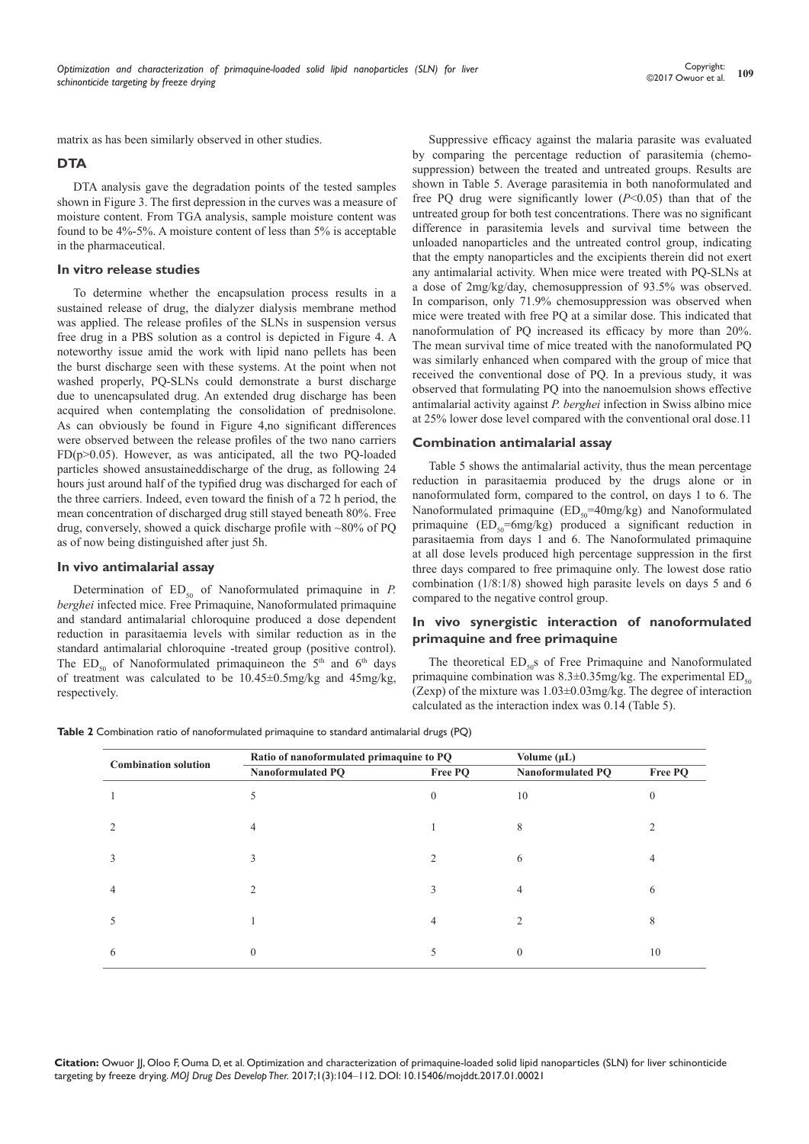matrix as has been similarly observed in other studies.

## **DTA**

DTA analysis gave the degradation points of the tested samples shown in Figure 3. The first depression in the curves was a measure of moisture content. From TGA analysis, sample moisture content was found to be 4%-5%. A moisture content of less than 5% is acceptable in the pharmaceutical.

#### **In vitro release studies**

To determine whether the encapsulation process results in a sustained release of drug, the dialyzer dialysis membrane method was applied. The release profiles of the SLNs in suspension versus free drug in a PBS solution as a control is depicted in Figure 4. A noteworthy issue amid the work with lipid nano pellets has been the burst discharge seen with these systems. At the point when not washed properly, PQ-SLNs could demonstrate a burst discharge due to unencapsulated drug. An extended drug discharge has been acquired when contemplating the consolidation of prednisolone. As can obviously be found in Figure 4,no significant differences were observed between the release profiles of the two nano carriers FD(p>0.05). However, as was anticipated, all the two PQ-loaded particles showed ansustaineddischarge of the drug, as following 24 hours just around half of the typified drug was discharged for each of the three carriers. Indeed, even toward the finish of a 72 h period, the mean concentration of discharged drug still stayed beneath 80%. Free drug, conversely, showed a quick discharge profile with ~80% of PQ as of now being distinguished after just 5h.

#### **In vivo antimalarial assay**

Determination of  $ED_{50}$  of Nanoformulated primaquine in *P*. *berghei* infected mice. Free Primaquine, Nanoformulated primaquine and standard antimalarial chloroquine produced a dose dependent reduction in parasitaemia levels with similar reduction as in the standard antimalarial chloroquine -treated group (positive control). The  $ED_{50}$  of Nanoformulated primaquineon the  $5<sup>th</sup>$  and  $6<sup>th</sup>$  days of treatment was calculated to be 10.45±0.5mg/kg and 45mg/kg, respectively.

Suppressive efficacy against the malaria parasite was evaluated by comparing the percentage reduction of parasitemia (chemosuppression) between the treated and untreated groups. Results are shown in Table 5. Average parasitemia in both nanoformulated and free PQ drug were significantly lower (*P*<0.05) than that of the untreated group for both test concentrations. There was no significant difference in parasitemia levels and survival time between the unloaded nanoparticles and the untreated control group, indicating that the empty nanoparticles and the excipients therein did not exert any antimalarial activity. When mice were treated with PQ-SLNs at a dose of 2mg/kg/day, chemosuppression of 93.5% was observed. In comparison, only 71.9% chemosuppression was observed when mice were treated with free PQ at a similar dose. This indicated that nanoformulation of PQ increased its efficacy by more than 20%. The mean survival time of mice treated with the nanoformulated PQ was similarly enhanced when compared with the group of mice that received the conventional dose of PQ. In a previous study, it was observed that formulating PQ into the nanoemulsion shows effective antimalarial activity against *P. berghei* infection in Swiss albino mice at 25% lower dose level compared with the conventional oral dose.11

#### **Combination antimalarial assay**

Table 5 shows the antimalarial activity, thus the mean percentage reduction in parasitaemia produced by the drugs alone or in nanoformulated form, compared to the control, on days 1 to 6. The Nanoformulated primaquine  $(ED_{50} = 40mg/kg)$  and Nanoformulated primaquine  $(ED_{50} = 6mg/kg)$  produced a significant reduction in parasitaemia from days 1 and 6. The Nanoformulated primaquine at all dose levels produced high percentage suppression in the first three days compared to free primaquine only. The lowest dose ratio combination (1/8:1/8) showed high parasite levels on days 5 and 6 compared to the negative control group.

## **In vivo synergistic interaction of nanoformulated primaquine and free primaquine**

The theoretical  $ED_{50}$ s of Free Primaquine and Nanoformulated primaquine combination was  $8.3\pm0.35$ mg/kg. The experimental ED<sub>50</sub> (Zexp) of the mixture was  $1.03 \pm 0.03$  mg/kg. The degree of interaction calculated as the interaction index was 0.14 (Table 5).

**Table 2** Combination ratio of nanoformulated primaquine to standard antimalarial drugs (PQ)

| <b>Combination solution</b> | Ratio of nanoformulated primaquine to PQ | Volume $(\mu L)$ |                          |          |
|-----------------------------|------------------------------------------|------------------|--------------------------|----------|
|                             | Nanoformulated PQ                        | Free PQ          | <b>Nanoformulated PQ</b> | Free PQ  |
|                             | 5                                        | $\Omega$         | 10                       | $\theta$ |
|                             | 4                                        |                  | 8                        |          |
| 3                           | 3                                        | $\overline{c}$   | 6                        | 4        |
| 4                           | 2                                        | $\mathcal{L}$    | 4                        | 6        |
|                             |                                          | 4                | 2                        | 8        |
| 6                           | $\theta$                                 | C                | $\theta$                 | 10       |

**Citation:** Owuor JJ, Oloo F, Ouma D, et al. Optimization and characterization of primaquine-loaded solid lipid nanoparticles (SLN) for liver schinonticide targeting by freeze drying. *MOJ Drug Des Develop Ther.* 2017;1(3):104‒112. DOI: [10.15406/mojddt.2017.01.00021](https://doi.org/10.15406/mojddt.2017.01.00021)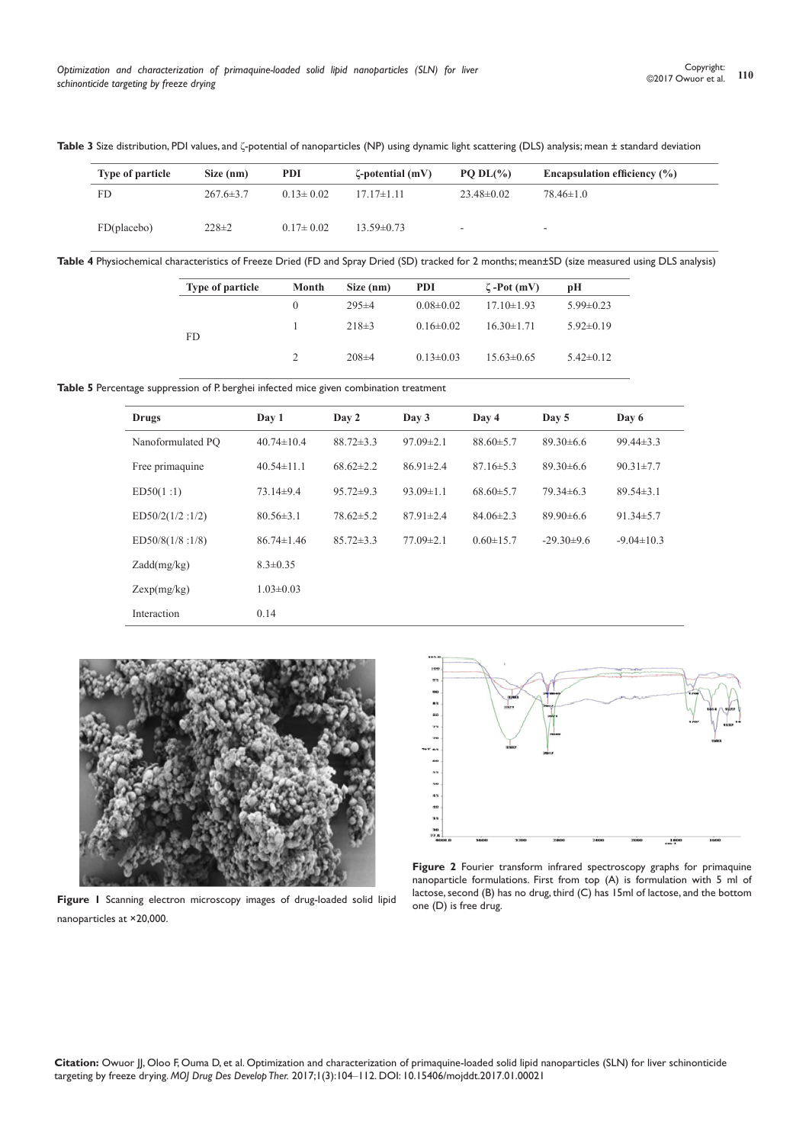| <b>Type of particle</b> | Size (nm)       | <b>PDI</b>      | $\zeta$ -potential (mV) | PO $DL(\% )$             | Encapsulation efficiency $(\% )$ |
|-------------------------|-----------------|-----------------|-------------------------|--------------------------|----------------------------------|
| FD                      | $267.6 \pm 3.7$ | $0.13 \pm 0.02$ | $17.17\pm1.11$          | $23.48\pm0.02$           | $78.46 \pm 1.0$                  |
| FD(placebo)             | $228 \pm 2$     | $0.17 \pm 0.02$ | $13.59\pm0.73$          | $\overline{\phantom{a}}$ | $\overline{\phantom{0}}$         |

**Table 3** Size distribution, PDI values, and ζ-potential of nanoparticles (NP) using dynamic light scattering (DLS) analysis; mean ± standard deviation

**Table 4** Physiochemical characteristics of Freeze Dried (FD and Spray Dried (SD) tracked for 2 months; mean±SD (size measured using DLS analysis)

| <b>Type of particle</b> | Month | Size (nm)   | <b>PDI</b>      | $\zeta$ -Pot (mV) | рH              |
|-------------------------|-------|-------------|-----------------|-------------------|-----------------|
|                         |       | $295\pm4$   | $0.08 \pm 0.02$ | $17.10\pm1.93$    | $5.99 \pm 0.23$ |
| FD.                     |       | $218\pm3$   | $0.16 \pm 0.02$ | $16.30 \pm 1.71$  | $5.92\pm0.19$   |
|                         |       | $208 \pm 4$ | $0.13 \pm 0.03$ | $15.63\pm0.65$    | $5.42 \pm 0.12$ |

Table 5 Percentage suppression of P. berghei infected mice given combination treatment

| Drugs             | Day 1            | Day 2           | Day 3           | Day 4           | Day 5          | Day 6            |
|-------------------|------------------|-----------------|-----------------|-----------------|----------------|------------------|
| Nanoformulated PO | $40.74 \pm 10.4$ | $88.72 \pm 3.3$ | $97.09 \pm 2.1$ | $88.60\pm5.7$   | $89.30\pm 6.6$ | $99.44 \pm 3.3$  |
| Free primaquine   | $40.54 \pm 11.1$ | $68.62 \pm 2.2$ | $86.91 \pm 2.4$ | $87.16 \pm 5.3$ | $89.30\pm 6.6$ | $90.31 \pm 7.7$  |
| ED50(1:1)         | $73.14\pm9.4$    | $95.72 \pm 9.3$ | $93.09 \pm 1.1$ | $68.60\pm5.7$   | $79.34\pm 6.3$ | $89.54\pm3.1$    |
| ED50/2(1/2:1/2)   | $80.56 \pm 3.1$  | $78.62 \pm 5.2$ | $87.91 \pm 2.4$ | $84.06\pm2.3$   | $89.90\pm 6.6$ | $91.34 \pm 5.7$  |
| ED50/8(1/8:1/8)   | $86.74 \pm 1.46$ | $85.72 \pm 3.3$ | $77.09 \pm 2.1$ | $0.60 \pm 15.7$ | $-29.30\pm9.6$ | $-9.04 \pm 10.3$ |
| Zadd(mg/kg)       | $8.3 \pm 0.35$   |                 |                 |                 |                |                  |
| Zexp(mg/kg)       | $1.03 \pm 0.03$  |                 |                 |                 |                |                  |
| Interaction       | 0.14             |                 |                 |                 |                |                  |



**Figure 1** Scanning electron microscopy images of drug-loaded solid lipid nanoparticles at ×20,000.



**Figure 2** Fourier transform infrared spectroscopy graphs for primaquine nanoparticle formulations. First from top (A) is formulation with 5 ml of lactose, second (B) has no drug, third (C) has 15ml of lactose, and the bottom one (D) is free drug.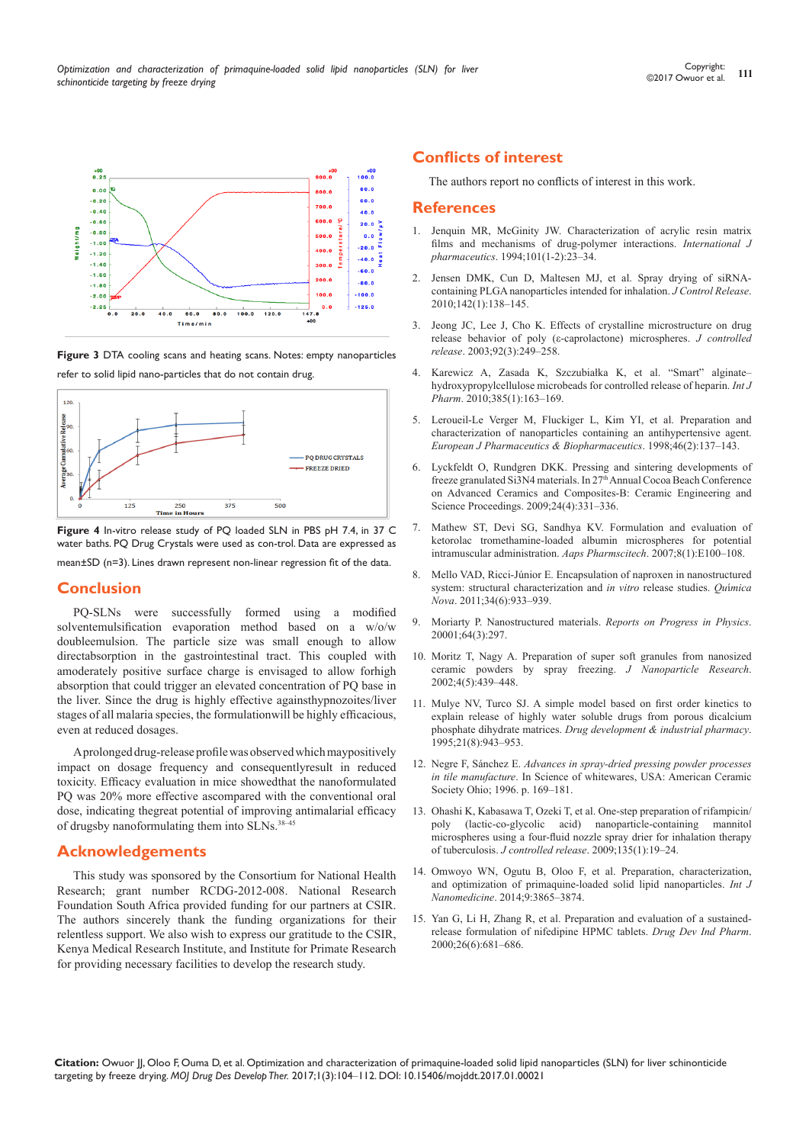**Figure 4** In-vitro release study of PQ loaded SLN in PBS pH 7.4, in 37 C water baths. PQ Drug Crystals were used as con-trol. Data are expressed as mean±SD (n=3). Lines drawn represent non-linear regression fit of the data.

 $375$ 

 $500$ 

**PO DRUG CRYSTALS**  $-$  FREEZE DRIED

#### **Conclusion**

 $125$ 

 $120$ 

**Jumulative Release** 

PQ-SLNs were successfully formed using a modified solventemulsification evaporation method based on a w/o/w doubleemulsion. The particle size was small enough to allow directabsorption in the gastrointestinal tract. This coupled with amoderately positive surface charge is envisaged to allow forhigh absorption that could trigger an elevated concentration of PQ base in the liver. Since the drug is highly effective againsthypnozoites/liver stages of all malaria species, the formulationwill be highly efficacious, even at reduced dosages.

A prolonged drug-release profile was observed which maypositively impact on dosage frequency and consequentlyresult in reduced toxicity. Efficacy evaluation in mice showedthat the nanoformulated PQ was 20% more effective ascompared with the conventional oral dose, indicating thegreat potential of improving antimalarial efficacy of drugsby nanoformulating them into SLNs.38–45

# **Acknowledgements**

This study was sponsored by the Consortium for National Health Research; grant number RCDG-2012-008. National Research Foundation South Africa provided funding for our partners at CSIR. The authors sincerely thank the funding organizations for their relentless support. We also wish to express our gratitude to the CSIR, Kenya Medical Research Institute, and Institute for Primate Research for providing necessary facilities to develop the research study.

# **Conflicts of interest**

The authors report no conflicts of interest in this work.

# **References**

- 1. [Jenquin MR, McGinity JW. Characterization of acrylic resin matrix](http://www.sciencedirect.com/science/article/pii/0378517394900728)  [films and mechanisms of drug-polymer interactions.](http://www.sciencedirect.com/science/article/pii/0378517394900728) *International J pharmaceutics*[. 1994;101\(1-2\):23–34.](http://www.sciencedirect.com/science/article/pii/0378517394900728)
- 2. [Jensen DMK, Cun D, Maltesen MJ, et al. Spray drying of siRNA](https://www.ncbi.nlm.nih.gov/pubmed/19840823)[containing PLGA nanoparticles intended for inhalation.](https://www.ncbi.nlm.nih.gov/pubmed/19840823) *J Control Release*. [2010;142\(1\):138–145.](https://www.ncbi.nlm.nih.gov/pubmed/19840823)
- 3. [Jeong JC, Lee J, Cho K. Effects of crystalline microstructure on drug](http://www.sciencedirect.com/science/article/pii/S0168365903003675)  [release behavior of poly \(ε-caprolactone\) microspheres.](http://www.sciencedirect.com/science/article/pii/S0168365903003675) *J controlled release*[. 2003;92\(3\):249–258.](http://www.sciencedirect.com/science/article/pii/S0168365903003675)
- 4. [Karewicz A, Zasada K, Szczubiałka K, et al. "Smart" alginate–](https://www.ncbi.nlm.nih.gov/pubmed/19840839) [hydroxypropylcellulose microbeads for controlled release of heparin.](https://www.ncbi.nlm.nih.gov/pubmed/19840839) *Int J Pharm*[. 2010;385\(1\):163–169.](https://www.ncbi.nlm.nih.gov/pubmed/19840839)
- 5. [Leroueil-Le Verger M, Fluckiger L, Kim YI, et al. Preparation and](http://www.sciencedirect.com/science/article/pii/S0939641198000150)  [characterization of nanoparticles containing an antihypertensive agent.](http://www.sciencedirect.com/science/article/pii/S0939641198000150)  *[European J Pharmaceutics & Biopharmaceutics](http://www.sciencedirect.com/science/article/pii/S0939641198000150)*. 1998;46(2):137–143.
- 6. [Lyckfeldt O, Rundgren DKK. Pressing and sintering developments of](http://onlinelibrary.wiley.com/doi/10.1002/9780470294826.ch48/summary)  freeze granulated Si3N4 materials. In 27<sup>th</sup> Annual Cocoa Beach Conference [on Advanced Ceramics and Composites-B: Ceramic Engineering and](http://onlinelibrary.wiley.com/doi/10.1002/9780470294826.ch48/summary)  [Science Proceedings. 2009;24\(4\):331–336.](http://onlinelibrary.wiley.com/doi/10.1002/9780470294826.ch48/summary)
- 7. [Mathew ST, Devi SG, Sandhya KV. Formulation and evaluation of](https://www.ncbi.nlm.nih.gov/pubmed/18181521/)  [ketorolac tromethamine-loaded albumin microspheres for potential](https://www.ncbi.nlm.nih.gov/pubmed/18181521/)  [intramuscular administration.](https://www.ncbi.nlm.nih.gov/pubmed/18181521/) *Aaps Pharmscitech*. 2007;8(1):E100–108.
- 8. [Mello VAD, Ricci-Júnior E. Encapsulation of naproxen in nanostructured](http://www.scielo.br/scielo.php?script=sci_arttext&pid=S0100-40422011000600004)  [system: structural characterization and](http://www.scielo.br/scielo.php?script=sci_arttext&pid=S0100-40422011000600004) *in vitro* release studies. *Qu*í*mica Nova*[. 2011;34\(6\):933–939.](http://www.scielo.br/scielo.php?script=sci_arttext&pid=S0100-40422011000600004)
- 9. [Moriarty P. Nanostructured materials.](http://iopscience.iop.org/article/10.1088/0034-4885/64/3/201/pdf) *Reports on Progress in Physics*. [20001;64\(3\):297.](http://iopscience.iop.org/article/10.1088/0034-4885/64/3/201/pdf)
- 10. [Moritz T, Nagy A. Preparation of super soft granules from nanosized](https://link.springer.com/article/10.1023/A:1021650415563)  [ceramic powders by spray freezing.](https://link.springer.com/article/10.1023/A:1021650415563) *J Nanoparticle Research*. [2002;4\(5\):439–448.](https://link.springer.com/article/10.1023/A:1021650415563)
- 11. [Mulye NV, Turco SJ. A simple model based on first order kinetics to](http://www.tandfonline.com/doi/abs/10.3109/03639049509026658)  [explain release of highly water soluble drugs from porous dicalcium](http://www.tandfonline.com/doi/abs/10.3109/03639049509026658)  phosphate dihydrate matrices. *[Drug development & industrial pharmacy](http://www.tandfonline.com/doi/abs/10.3109/03639049509026658)*. [1995;21\(8\):943–953.](http://www.tandfonline.com/doi/abs/10.3109/03639049509026658)
- 12. Negre F, Sánchez E. *Advances in spray-dried pressing powder processes in tile manufacture*. In Science of whitewares, USA: American Ceramic Society Ohio; 1996. p. 169–181.
- 13. [Ohashi K, Kabasawa T, Ozeki T, et al. One-step preparation of rifampicin/](https://www.ncbi.nlm.nih.gov/pubmed/19121349) [poly \(lactic-co-glycolic acid\) nanoparticle-containing mannitol](https://www.ncbi.nlm.nih.gov/pubmed/19121349)  [microspheres using a four-fluid nozzle spray drier for inhalation therapy](https://www.ncbi.nlm.nih.gov/pubmed/19121349)  of tuberculosis. *J controlled release*[. 2009;135\(1\):19–24.](https://www.ncbi.nlm.nih.gov/pubmed/19121349)
- 14. [Omwoyo WN, Ogutu B, Oloo F, et al. Preparation, characterization,](https://www.ncbi.nlm.nih.gov/pubmed/25143734)  [and optimization of primaquine-loaded solid lipid nanoparticles.](https://www.ncbi.nlm.nih.gov/pubmed/25143734) *Int J Nanomedicine*[. 2014;9:3865–3874.](https://www.ncbi.nlm.nih.gov/pubmed/25143734)
- 15. [Yan G, Li H, Zhang R, et al. Preparation and evaluation of a sustained](https://www.ncbi.nlm.nih.gov/pubmed/10826117)[release formulation of nifedipine HPMC tablets.](https://www.ncbi.nlm.nih.gov/pubmed/10826117) *Drug Dev Ind Pharm*. [2000;26\(6\):681–686.](https://www.ncbi.nlm.nih.gov/pubmed/10826117)



**Figure 3** DTA cooling scans and heating scans. Notes: empty nanoparticles

refer to solid lipid nano-particles that do not contain drug.

250 **Time** zav<br>in Hou